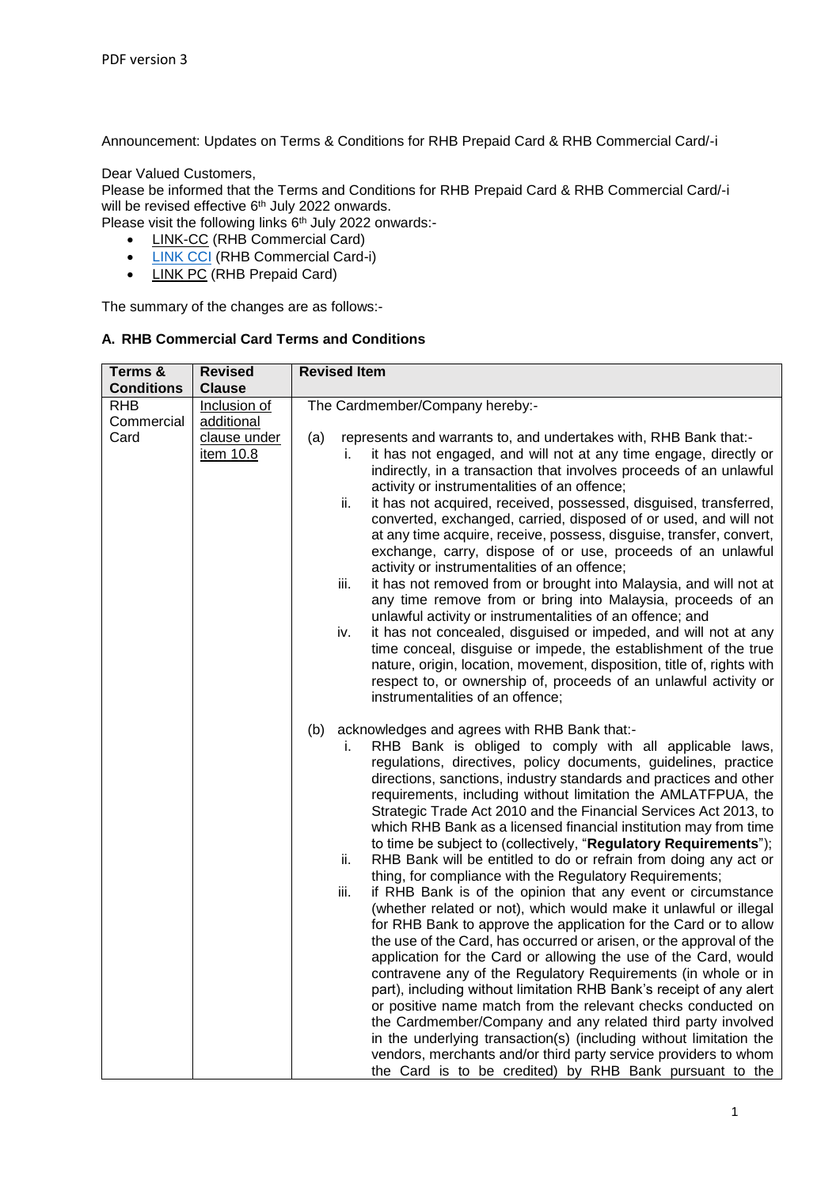Announcement: Updates on Terms & Conditions for RHB Prepaid Card & RHB Commercial Card/-i

## Dear Valued Customers,

Please be informed that the Terms and Conditions for RHB Prepaid Card & RHB Commercial Card/-i will be revised effective 6<sup>th</sup> July 2022 onwards.

Please visit the following links  $6<sup>th</sup>$  July 2022 onwards:-

- [LINK-CC](https://www.rhbgroup.com/files/business/cards/Cardholder_Agreement_Charge_Card_Conventional.pdf) (RHB Commercial Card)
- **.** [LINK CCI](https://www.rhbgroup.com/files/islamic/cards/RHB_Corporate_Card_TC_260219_merged.pdf) (RHB Commercial Card-i)
- [LINK PC](https://www.rhbgroup.com/files/personal/cards/credit-cards/overview/TC_Prepaid_Card.pdf) (RHB Prepaid Card)

The summary of the changes are as follows:-

## **A. RHB Commercial Card Terms and Conditions**

| Terms &<br><b>Conditions</b> | <b>Revised</b><br><b>Clause</b> | <b>Revised Item</b>                                                                                                                          |  |  |
|------------------------------|---------------------------------|----------------------------------------------------------------------------------------------------------------------------------------------|--|--|
| <b>RHB</b>                   | Inclusion of                    | The Cardmember/Company hereby:-                                                                                                              |  |  |
| Commercial                   | additional                      |                                                                                                                                              |  |  |
| Card                         | clause under                    | represents and warrants to, and undertakes with, RHB Bank that:-<br>(a)                                                                      |  |  |
|                              | item 10.8                       | it has not engaged, and will not at any time engage, directly or<br>i.                                                                       |  |  |
|                              |                                 | indirectly, in a transaction that involves proceeds of an unlawful                                                                           |  |  |
|                              |                                 | activity or instrumentalities of an offence;                                                                                                 |  |  |
|                              |                                 | ii.<br>it has not acquired, received, possessed, disguised, transferred,<br>converted, exchanged, carried, disposed of or used, and will not |  |  |
|                              |                                 | at any time acquire, receive, possess, disguise, transfer, convert,                                                                          |  |  |
|                              |                                 | exchange, carry, dispose of or use, proceeds of an unlawful                                                                                  |  |  |
|                              |                                 | activity or instrumentalities of an offence;                                                                                                 |  |  |
|                              |                                 | it has not removed from or brought into Malaysia, and will not at<br>iii.                                                                    |  |  |
|                              |                                 | any time remove from or bring into Malaysia, proceeds of an                                                                                  |  |  |
|                              |                                 | unlawful activity or instrumentalities of an offence; and<br>it has not concealed, disguised or impeded, and will not at any<br>iv.          |  |  |
|                              |                                 | time conceal, disguise or impede, the establishment of the true                                                                              |  |  |
|                              |                                 | nature, origin, location, movement, disposition, title of, rights with                                                                       |  |  |
|                              |                                 | respect to, or ownership of, proceeds of an unlawful activity or                                                                             |  |  |
|                              |                                 | instrumentalities of an offence;                                                                                                             |  |  |
|                              |                                 | acknowledges and agrees with RHB Bank that:-<br>(b)                                                                                          |  |  |
|                              |                                 | RHB Bank is obliged to comply with all applicable laws,<br>İ.                                                                                |  |  |
|                              |                                 | regulations, directives, policy documents, guidelines, practice                                                                              |  |  |
|                              |                                 | directions, sanctions, industry standards and practices and other<br>requirements, including without limitation the AMLATFPUA, the           |  |  |
|                              |                                 | Strategic Trade Act 2010 and the Financial Services Act 2013, to                                                                             |  |  |
|                              |                                 | which RHB Bank as a licensed financial institution may from time                                                                             |  |  |
|                              |                                 | to time be subject to (collectively, "Regulatory Requirements");                                                                             |  |  |
|                              |                                 | RHB Bank will be entitled to do or refrain from doing any act or<br>ii.                                                                      |  |  |
|                              |                                 | thing, for compliance with the Regulatory Requirements;<br>iii.<br>if RHB Bank is of the opinion that any event or circumstance              |  |  |
|                              |                                 | (whether related or not), which would make it unlawful or illegal                                                                            |  |  |
|                              |                                 | for RHB Bank to approve the application for the Card or to allow                                                                             |  |  |
|                              |                                 | the use of the Card, has occurred or arisen, or the approval of the                                                                          |  |  |
|                              |                                 | application for the Card or allowing the use of the Card, would                                                                              |  |  |
|                              |                                 | contravene any of the Regulatory Requirements (in whole or in<br>part), including without limitation RHB Bank's receipt of any alert         |  |  |
|                              |                                 | or positive name match from the relevant checks conducted on                                                                                 |  |  |
|                              |                                 | the Cardmember/Company and any related third party involved                                                                                  |  |  |
|                              |                                 | in the underlying transaction(s) (including without limitation the                                                                           |  |  |
|                              |                                 | vendors, merchants and/or third party service providers to whom                                                                              |  |  |
|                              |                                 | the Card is to be credited) by RHB Bank pursuant to the                                                                                      |  |  |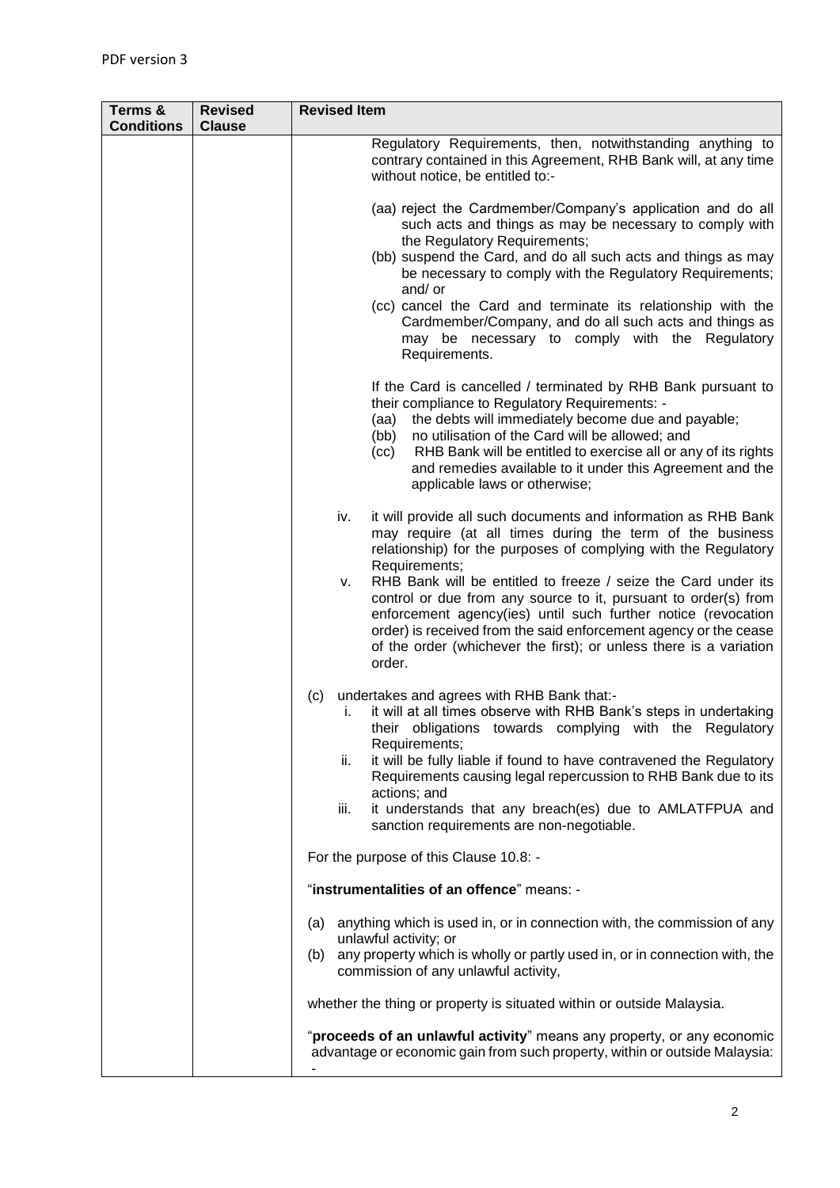| Terms &<br><b>Conditions</b> | <b>Revised</b><br><b>Clause</b> | <b>Revised Item</b>                                                                                                                                                                                                                                                                                                                                                                                                                                                                         |  |
|------------------------------|---------------------------------|---------------------------------------------------------------------------------------------------------------------------------------------------------------------------------------------------------------------------------------------------------------------------------------------------------------------------------------------------------------------------------------------------------------------------------------------------------------------------------------------|--|
|                              |                                 | Regulatory Requirements, then, notwithstanding anything to<br>contrary contained in this Agreement, RHB Bank will, at any time<br>without notice, be entitled to:-                                                                                                                                                                                                                                                                                                                          |  |
|                              |                                 | (aa) reject the Cardmember/Company's application and do all<br>such acts and things as may be necessary to comply with<br>the Regulatory Requirements;<br>(bb) suspend the Card, and do all such acts and things as may<br>be necessary to comply with the Regulatory Requirements;<br>and/ or<br>(cc) cancel the Card and terminate its relationship with the<br>Cardmember/Company, and do all such acts and things as<br>may be necessary to comply with the Regulatory<br>Requirements. |  |
|                              |                                 | If the Card is cancelled / terminated by RHB Bank pursuant to<br>their compliance to Regulatory Requirements: -<br>the debts will immediately become due and payable;<br>(aa)<br>no utilisation of the Card will be allowed; and<br>(bb)<br>RHB Bank will be entitled to exercise all or any of its rights<br>(cc)<br>and remedies available to it under this Agreement and the<br>applicable laws or otherwise;                                                                            |  |
|                              |                                 | iv.<br>it will provide all such documents and information as RHB Bank<br>may require (at all times during the term of the business<br>relationship) for the purposes of complying with the Regulatory<br>Requirements;                                                                                                                                                                                                                                                                      |  |
|                              |                                 | RHB Bank will be entitled to freeze / seize the Card under its<br>ν.<br>control or due from any source to it, pursuant to order(s) from<br>enforcement agency(ies) until such further notice (revocation<br>order) is received from the said enforcement agency or the cease<br>of the order (whichever the first); or unless there is a variation<br>order.                                                                                                                                |  |
|                              |                                 | undertakes and agrees with RHB Bank that:-<br>(C)<br>it will at all times observe with RHB Bank's steps in undertaking<br>İ.<br>their obligations towards complying with the Regulatory<br>Requirements;                                                                                                                                                                                                                                                                                    |  |
|                              |                                 | it will be fully liable if found to have contravened the Regulatory<br>ii.<br>Requirements causing legal repercussion to RHB Bank due to its<br>actions; and                                                                                                                                                                                                                                                                                                                                |  |
|                              |                                 | it understands that any breach(es) due to AMLATFPUA and<br>iii.<br>sanction requirements are non-negotiable.                                                                                                                                                                                                                                                                                                                                                                                |  |
|                              |                                 | For the purpose of this Clause 10.8: -                                                                                                                                                                                                                                                                                                                                                                                                                                                      |  |
|                              |                                 | "instrumentalities of an offence" means: -                                                                                                                                                                                                                                                                                                                                                                                                                                                  |  |
|                              |                                 | (a) anything which is used in, or in connection with, the commission of any<br>unlawful activity; or<br>any property which is wholly or partly used in, or in connection with, the<br>(b)<br>commission of any unlawful activity,                                                                                                                                                                                                                                                           |  |
|                              |                                 | whether the thing or property is situated within or outside Malaysia.                                                                                                                                                                                                                                                                                                                                                                                                                       |  |
|                              |                                 | "proceeds of an unlawful activity" means any property, or any economic<br>advantage or economic gain from such property, within or outside Malaysia:                                                                                                                                                                                                                                                                                                                                        |  |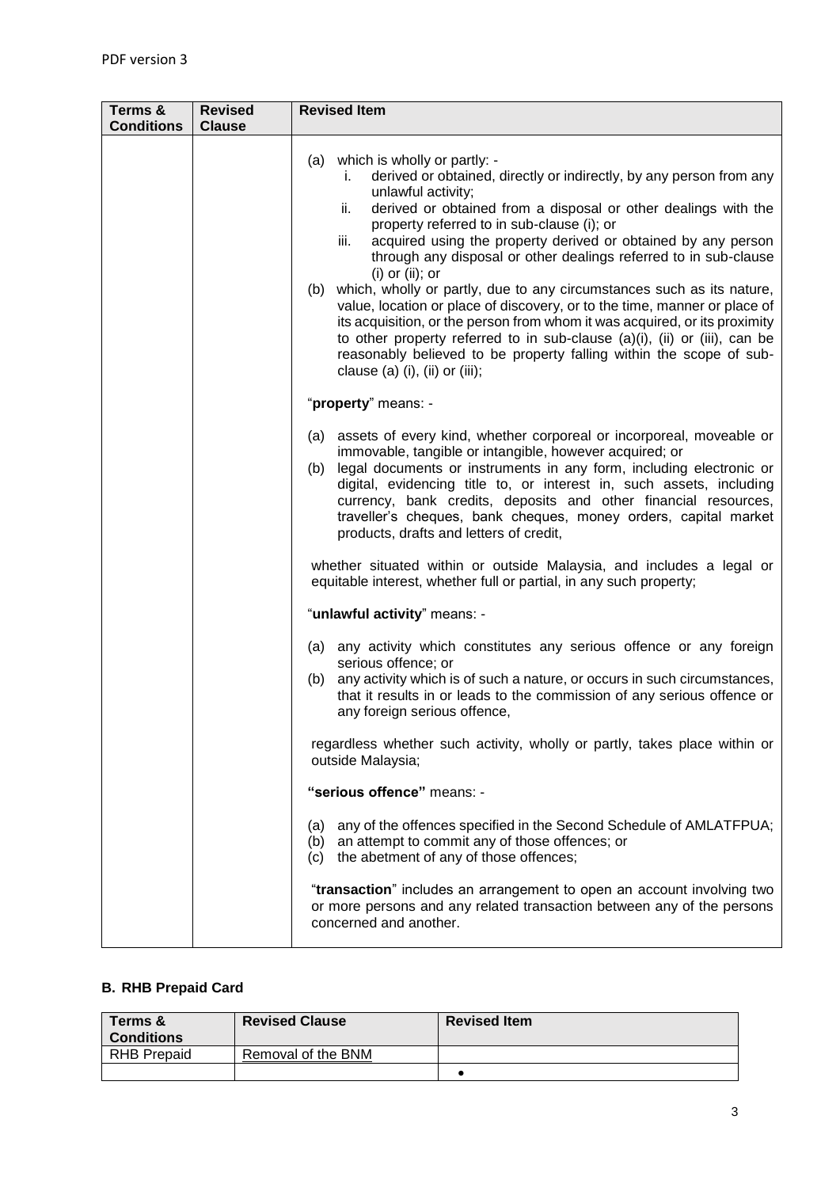| Terms &<br><b>Conditions</b> | <b>Revised</b><br><b>Clause</b> | <b>Revised Item</b>                                                                                                                                                                                                                                                                                                                                                                                                                                                                                                                                                                                                                                                                                                                                                                                                                                           |  |
|------------------------------|---------------------------------|---------------------------------------------------------------------------------------------------------------------------------------------------------------------------------------------------------------------------------------------------------------------------------------------------------------------------------------------------------------------------------------------------------------------------------------------------------------------------------------------------------------------------------------------------------------------------------------------------------------------------------------------------------------------------------------------------------------------------------------------------------------------------------------------------------------------------------------------------------------|--|
|                              |                                 |                                                                                                                                                                                                                                                                                                                                                                                                                                                                                                                                                                                                                                                                                                                                                                                                                                                               |  |
|                              |                                 | (a) which is wholly or partly: -<br>derived or obtained, directly or indirectly, by any person from any<br>i.<br>unlawful activity;<br>derived or obtained from a disposal or other dealings with the<br>ii.<br>property referred to in sub-clause (i); or<br>acquired using the property derived or obtained by any person<br>iii.<br>through any disposal or other dealings referred to in sub-clause<br>$(i)$ or $(ii)$ ; or<br>(b) which, wholly or partly, due to any circumstances such as its nature,<br>value, location or place of discovery, or to the time, manner or place of<br>its acquisition, or the person from whom it was acquired, or its proximity<br>to other property referred to in sub-clause (a)(i), (ii) or (iii), can be<br>reasonably believed to be property falling within the scope of sub-<br>clause (a) (i), (ii) or (iii); |  |
|                              |                                 | "property" means: -                                                                                                                                                                                                                                                                                                                                                                                                                                                                                                                                                                                                                                                                                                                                                                                                                                           |  |
|                              |                                 | (a) assets of every kind, whether corporeal or incorporeal, moveable or<br>immovable, tangible or intangible, however acquired; or<br>legal documents or instruments in any form, including electronic or<br>(b)<br>digital, evidencing title to, or interest in, such assets, including<br>currency, bank credits, deposits and other financial resources,<br>traveller's cheques, bank cheques, money orders, capital market<br>products, drafts and letters of credit,                                                                                                                                                                                                                                                                                                                                                                                     |  |
|                              |                                 | whether situated within or outside Malaysia, and includes a legal or<br>equitable interest, whether full or partial, in any such property;                                                                                                                                                                                                                                                                                                                                                                                                                                                                                                                                                                                                                                                                                                                    |  |
|                              |                                 | "unlawful activity" means: -                                                                                                                                                                                                                                                                                                                                                                                                                                                                                                                                                                                                                                                                                                                                                                                                                                  |  |
|                              |                                 | (a) any activity which constitutes any serious offence or any foreign<br>serious offence; or<br>(b) any activity which is of such a nature, or occurs in such circumstances,<br>that it results in or leads to the commission of any serious offence or<br>any foreign serious offence,                                                                                                                                                                                                                                                                                                                                                                                                                                                                                                                                                                       |  |
|                              |                                 | regardless whether such activity, wholly or partly, takes place within or<br>outside Malaysia;                                                                                                                                                                                                                                                                                                                                                                                                                                                                                                                                                                                                                                                                                                                                                                |  |
|                              |                                 | "serious offence" means: -                                                                                                                                                                                                                                                                                                                                                                                                                                                                                                                                                                                                                                                                                                                                                                                                                                    |  |
|                              |                                 | any of the offences specified in the Second Schedule of AMLATFPUA;<br>(a)<br>(b) an attempt to commit any of those offences; or<br>the abetment of any of those offences;<br>(c)                                                                                                                                                                                                                                                                                                                                                                                                                                                                                                                                                                                                                                                                              |  |
|                              |                                 | "transaction" includes an arrangement to open an account involving two<br>or more persons and any related transaction between any of the persons<br>concerned and another.                                                                                                                                                                                                                                                                                                                                                                                                                                                                                                                                                                                                                                                                                    |  |

## **B. RHB Prepaid Card**

| Terms &<br><b>Conditions</b> | <b>Revised Clause</b> | <b>Revised Item</b> |
|------------------------------|-----------------------|---------------------|
| <b>RHB Prepaid</b>           | Removal of the BNM    |                     |
|                              |                       |                     |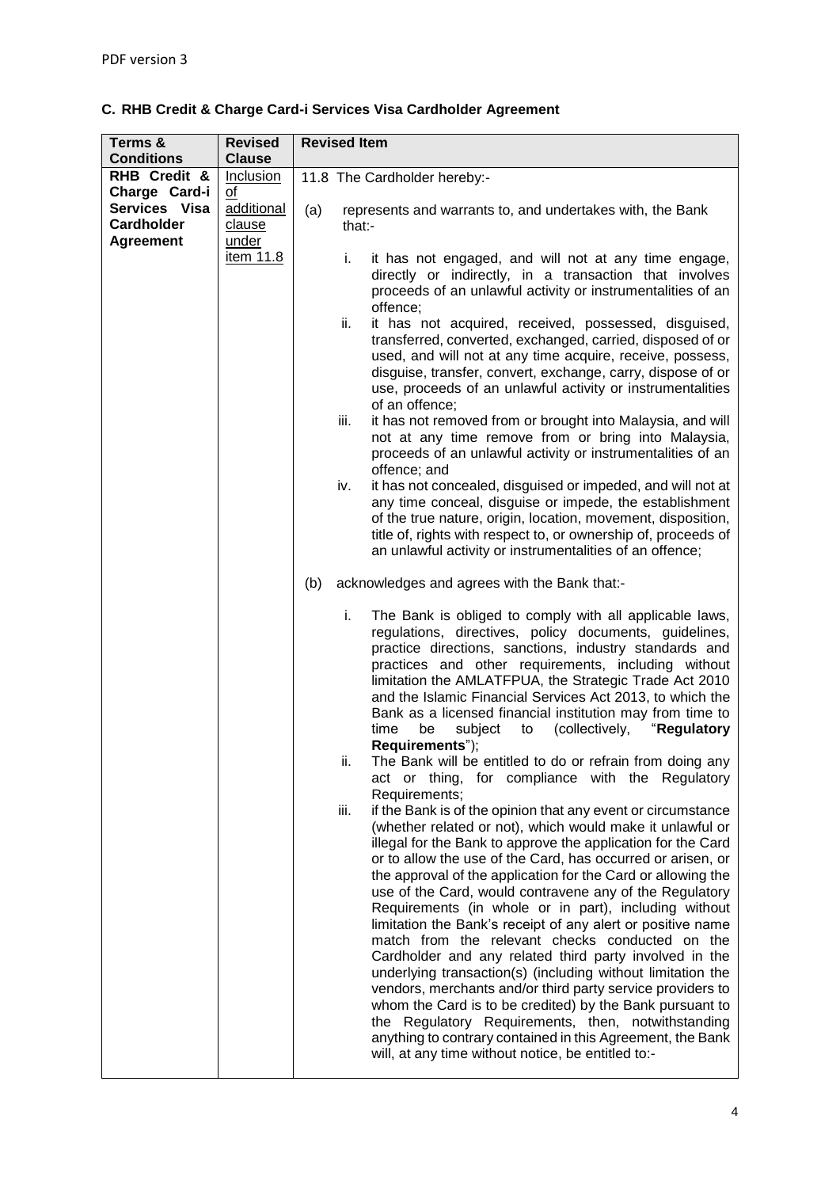|  |  |  |  |  | C. RHB Credit & Charge Card-i Services Visa Cardholder Agreement |  |
|--|--|--|--|--|------------------------------------------------------------------|--|
|--|--|--|--|--|------------------------------------------------------------------|--|

| Terms &           | <b>Revised</b> | <b>Revised Item</b>                                                                                                                                                                                                                                                                                                                                                                                                                                                                                                                                                                                                                                                                                                                                                                                                                                                                                                                                                                                                                                                                                                                                                                                                                                                                                                                                                                                                                                                                                                                  |  |  |
|-------------------|----------------|--------------------------------------------------------------------------------------------------------------------------------------------------------------------------------------------------------------------------------------------------------------------------------------------------------------------------------------------------------------------------------------------------------------------------------------------------------------------------------------------------------------------------------------------------------------------------------------------------------------------------------------------------------------------------------------------------------------------------------------------------------------------------------------------------------------------------------------------------------------------------------------------------------------------------------------------------------------------------------------------------------------------------------------------------------------------------------------------------------------------------------------------------------------------------------------------------------------------------------------------------------------------------------------------------------------------------------------------------------------------------------------------------------------------------------------------------------------------------------------------------------------------------------------|--|--|
| <b>Conditions</b> | <b>Clause</b>  |                                                                                                                                                                                                                                                                                                                                                                                                                                                                                                                                                                                                                                                                                                                                                                                                                                                                                                                                                                                                                                                                                                                                                                                                                                                                                                                                                                                                                                                                                                                                      |  |  |
| RHB Credit &      | Inclusion      | 11.8 The Cardholder hereby:-                                                                                                                                                                                                                                                                                                                                                                                                                                                                                                                                                                                                                                                                                                                                                                                                                                                                                                                                                                                                                                                                                                                                                                                                                                                                                                                                                                                                                                                                                                         |  |  |
| Charge Card-i     | of             |                                                                                                                                                                                                                                                                                                                                                                                                                                                                                                                                                                                                                                                                                                                                                                                                                                                                                                                                                                                                                                                                                                                                                                                                                                                                                                                                                                                                                                                                                                                                      |  |  |
| Services Visa     | additional     |                                                                                                                                                                                                                                                                                                                                                                                                                                                                                                                                                                                                                                                                                                                                                                                                                                                                                                                                                                                                                                                                                                                                                                                                                                                                                                                                                                                                                                                                                                                                      |  |  |
| <b>Cardholder</b> | clause         |                                                                                                                                                                                                                                                                                                                                                                                                                                                                                                                                                                                                                                                                                                                                                                                                                                                                                                                                                                                                                                                                                                                                                                                                                                                                                                                                                                                                                                                                                                                                      |  |  |
| <b>Agreement</b>  | under          |                                                                                                                                                                                                                                                                                                                                                                                                                                                                                                                                                                                                                                                                                                                                                                                                                                                                                                                                                                                                                                                                                                                                                                                                                                                                                                                                                                                                                                                                                                                                      |  |  |
|                   | item 11.8      | (a)<br>represents and warrants to, and undertakes with, the Bank<br>that:-<br>i.<br>it has not engaged, and will not at any time engage,<br>directly or indirectly, in a transaction that involves<br>proceeds of an unlawful activity or instrumentalities of an<br>offence;<br>ii.<br>it has not acquired, received, possessed, disguised,<br>transferred, converted, exchanged, carried, disposed of or<br>used, and will not at any time acquire, receive, possess,<br>disguise, transfer, convert, exchange, carry, dispose of or<br>use, proceeds of an unlawful activity or instrumentalities<br>of an offence;<br>it has not removed from or brought into Malaysia, and will<br>iii.<br>not at any time remove from or bring into Malaysia,<br>proceeds of an unlawful activity or instrumentalities of an<br>offence; and<br>it has not concealed, disguised or impeded, and will not at<br>iv.<br>any time conceal, disguise or impede, the establishment<br>of the true nature, origin, location, movement, disposition,<br>title of, rights with respect to, or ownership of, proceeds of<br>an unlawful activity or instrumentalities of an offence;<br>acknowledges and agrees with the Bank that:-<br>(b)<br>i.<br>The Bank is obliged to comply with all applicable laws,<br>regulations, directives, policy documents, guidelines,                                                                                                                                                                                  |  |  |
|                   |                | practice directions, sanctions, industry standards and<br>practices and other requirements, including without<br>limitation the AMLATFPUA, the Strategic Trade Act 2010<br>and the Islamic Financial Services Act 2013, to which the<br>Bank as a licensed financial institution may from time to<br>(collectively,<br>"Regulatory<br>time<br>be<br>subject<br>to<br>Requirements");<br>The Bank will be entitled to do or refrain from doing any<br>ii.<br>act or thing, for compliance with the Regulatory<br>Requirements;<br>if the Bank is of the opinion that any event or circumstance<br>iii.<br>(whether related or not), which would make it unlawful or<br>illegal for the Bank to approve the application for the Card<br>or to allow the use of the Card, has occurred or arisen, or<br>the approval of the application for the Card or allowing the<br>use of the Card, would contravene any of the Regulatory<br>Requirements (in whole or in part), including without<br>limitation the Bank's receipt of any alert or positive name<br>match from the relevant checks conducted on the<br>Cardholder and any related third party involved in the<br>underlying transaction(s) (including without limitation the<br>vendors, merchants and/or third party service providers to<br>whom the Card is to be credited) by the Bank pursuant to<br>the Regulatory Requirements, then, notwithstanding<br>anything to contrary contained in this Agreement, the Bank<br>will, at any time without notice, be entitled to:- |  |  |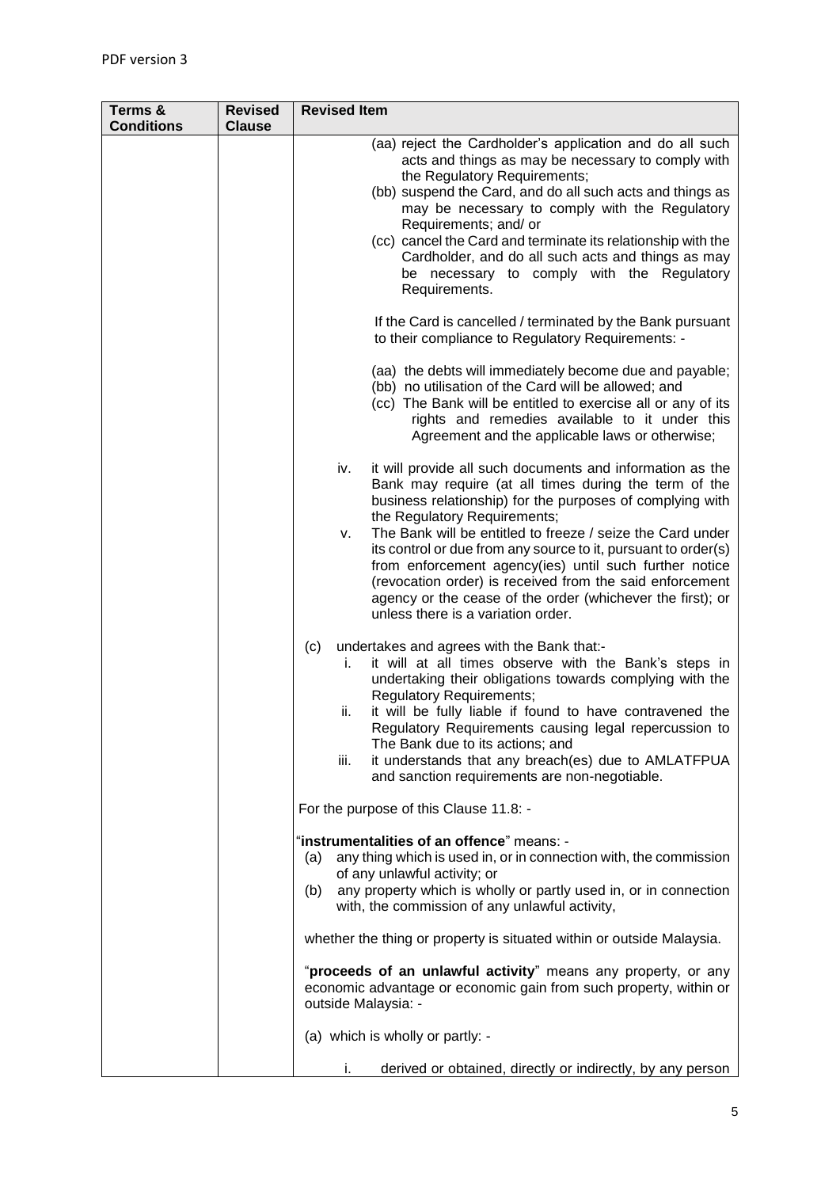| Terms &<br><b>Conditions</b> | <b>Revised</b><br><b>Clause</b> | <b>Revised Item</b>                                                                                                                                                                                                                                                                                                                                                                                                                                                                                                                                                                    |  |  |
|------------------------------|---------------------------------|----------------------------------------------------------------------------------------------------------------------------------------------------------------------------------------------------------------------------------------------------------------------------------------------------------------------------------------------------------------------------------------------------------------------------------------------------------------------------------------------------------------------------------------------------------------------------------------|--|--|
|                              |                                 | (aa) reject the Cardholder's application and do all such<br>acts and things as may be necessary to comply with<br>the Regulatory Requirements;<br>(bb) suspend the Card, and do all such acts and things as<br>may be necessary to comply with the Regulatory<br>Requirements; and/ or<br>(cc) cancel the Card and terminate its relationship with the<br>Cardholder, and do all such acts and things as may<br>be necessary to comply with the Regulatory<br>Requirements.                                                                                                            |  |  |
|                              |                                 | If the Card is cancelled / terminated by the Bank pursuant<br>to their compliance to Regulatory Requirements: -                                                                                                                                                                                                                                                                                                                                                                                                                                                                        |  |  |
|                              |                                 | (aa) the debts will immediately become due and payable;<br>(bb) no utilisation of the Card will be allowed; and<br>(cc) The Bank will be entitled to exercise all or any of its<br>rights and remedies available to it under this<br>Agreement and the applicable laws or otherwise;                                                                                                                                                                                                                                                                                                   |  |  |
|                              |                                 | it will provide all such documents and information as the<br>iv.<br>Bank may require (at all times during the term of the<br>business relationship) for the purposes of complying with<br>the Regulatory Requirements;<br>The Bank will be entitled to freeze / seize the Card under<br>ν.<br>its control or due from any source to it, pursuant to order(s)<br>from enforcement agency(ies) until such further notice<br>(revocation order) is received from the said enforcement<br>agency or the cease of the order (whichever the first); or<br>unless there is a variation order. |  |  |
|                              |                                 | undertakes and agrees with the Bank that:-<br>(c)<br>it will at all times observe with the Bank's steps in<br>i.<br>undertaking their obligations towards complying with the<br><b>Regulatory Requirements;</b><br>it will be fully liable if found to have contravened the<br>ii.<br>Regulatory Requirements causing legal repercussion to<br>The Bank due to its actions; and<br>it understands that any breach(es) due to AMLATFPUA<br>iii.<br>and sanction requirements are non-negotiable.                                                                                        |  |  |
|                              |                                 | For the purpose of this Clause 11.8: -                                                                                                                                                                                                                                                                                                                                                                                                                                                                                                                                                 |  |  |
|                              |                                 | "instrumentalities of an offence" means: -<br>any thing which is used in, or in connection with, the commission<br>(a)<br>of any unlawful activity; or<br>any property which is wholly or partly used in, or in connection<br>(b)<br>with, the commission of any unlawful activity,                                                                                                                                                                                                                                                                                                    |  |  |
|                              |                                 | whether the thing or property is situated within or outside Malaysia.                                                                                                                                                                                                                                                                                                                                                                                                                                                                                                                  |  |  |
|                              |                                 | "proceeds of an unlawful activity" means any property, or any<br>economic advantage or economic gain from such property, within or<br>outside Malaysia: -                                                                                                                                                                                                                                                                                                                                                                                                                              |  |  |
|                              |                                 | (a) which is wholly or partly: -                                                                                                                                                                                                                                                                                                                                                                                                                                                                                                                                                       |  |  |
|                              |                                 | derived or obtained, directly or indirectly, by any person<br>i.                                                                                                                                                                                                                                                                                                                                                                                                                                                                                                                       |  |  |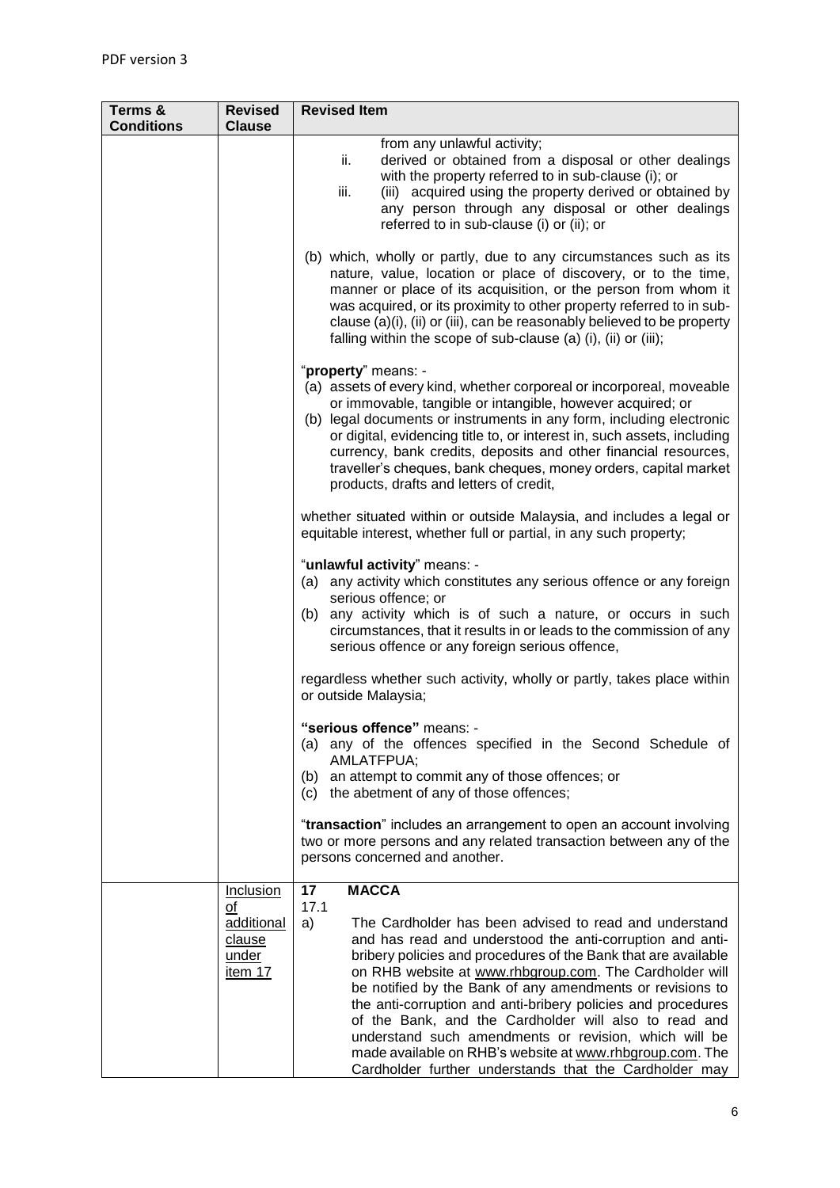| Terms &<br><b>Conditions</b> | <b>Revised</b><br><b>Clause</b>                                    | <b>Revised Item</b>                                                                                                                                                                                                                                                                                                                                                                                                                                                                                                                                                                                                                                       |  |  |
|------------------------------|--------------------------------------------------------------------|-----------------------------------------------------------------------------------------------------------------------------------------------------------------------------------------------------------------------------------------------------------------------------------------------------------------------------------------------------------------------------------------------------------------------------------------------------------------------------------------------------------------------------------------------------------------------------------------------------------------------------------------------------------|--|--|
|                              |                                                                    | from any unlawful activity;<br>derived or obtained from a disposal or other dealings<br>ii.<br>with the property referred to in sub-clause (i); or<br>(iii) acquired using the property derived or obtained by<br>iii.<br>any person through any disposal or other dealings<br>referred to in sub-clause (i) or (ii); or                                                                                                                                                                                                                                                                                                                                  |  |  |
|                              |                                                                    | (b) which, wholly or partly, due to any circumstances such as its<br>nature, value, location or place of discovery, or to the time,<br>manner or place of its acquisition, or the person from whom it<br>was acquired, or its proximity to other property referred to in sub-<br>clause (a)(i), (ii) or (iii), can be reasonably believed to be property<br>falling within the scope of sub-clause (a) (i), (ii) or (iii);                                                                                                                                                                                                                                |  |  |
|                              |                                                                    | "property" means: -<br>(a) assets of every kind, whether corporeal or incorporeal, moveable<br>or immovable, tangible or intangible, however acquired; or<br>(b) legal documents or instruments in any form, including electronic<br>or digital, evidencing title to, or interest in, such assets, including<br>currency, bank credits, deposits and other financial resources,<br>traveller's cheques, bank cheques, money orders, capital market<br>products, drafts and letters of credit,                                                                                                                                                             |  |  |
|                              |                                                                    | whether situated within or outside Malaysia, and includes a legal or<br>equitable interest, whether full or partial, in any such property;                                                                                                                                                                                                                                                                                                                                                                                                                                                                                                                |  |  |
|                              |                                                                    | "unlawful activity" means: -<br>(a) any activity which constitutes any serious offence or any foreign<br>serious offence; or<br>any activity which is of such a nature, or occurs in such<br>(b)<br>circumstances, that it results in or leads to the commission of any<br>serious offence or any foreign serious offence,                                                                                                                                                                                                                                                                                                                                |  |  |
|                              |                                                                    | regardless whether such activity, wholly or partly, takes place within<br>or outside Malaysia;                                                                                                                                                                                                                                                                                                                                                                                                                                                                                                                                                            |  |  |
|                              |                                                                    | "serious offence" means: -<br>any of the offences specified in the Second Schedule of<br>(a)<br>AMLATFPUA;<br>an attempt to commit any of those offences; or<br>(b)<br>the abetment of any of those offences;<br>(c)                                                                                                                                                                                                                                                                                                                                                                                                                                      |  |  |
|                              |                                                                    | "transaction" includes an arrangement to open an account involving<br>two or more persons and any related transaction between any of the<br>persons concerned and another.                                                                                                                                                                                                                                                                                                                                                                                                                                                                                |  |  |
|                              | <b>Inclusion</b><br>of<br>additional<br>clause<br>under<br>item 17 | 17<br><b>MACCA</b><br>17.1<br>The Cardholder has been advised to read and understand<br>a)<br>and has read and understood the anti-corruption and anti-<br>bribery policies and procedures of the Bank that are available<br>on RHB website at www.rhbgroup.com. The Cardholder will<br>be notified by the Bank of any amendments or revisions to<br>the anti-corruption and anti-bribery policies and procedures<br>of the Bank, and the Cardholder will also to read and<br>understand such amendments or revision, which will be<br>made available on RHB's website at www.rhbgroup.com. The<br>Cardholder further understands that the Cardholder may |  |  |